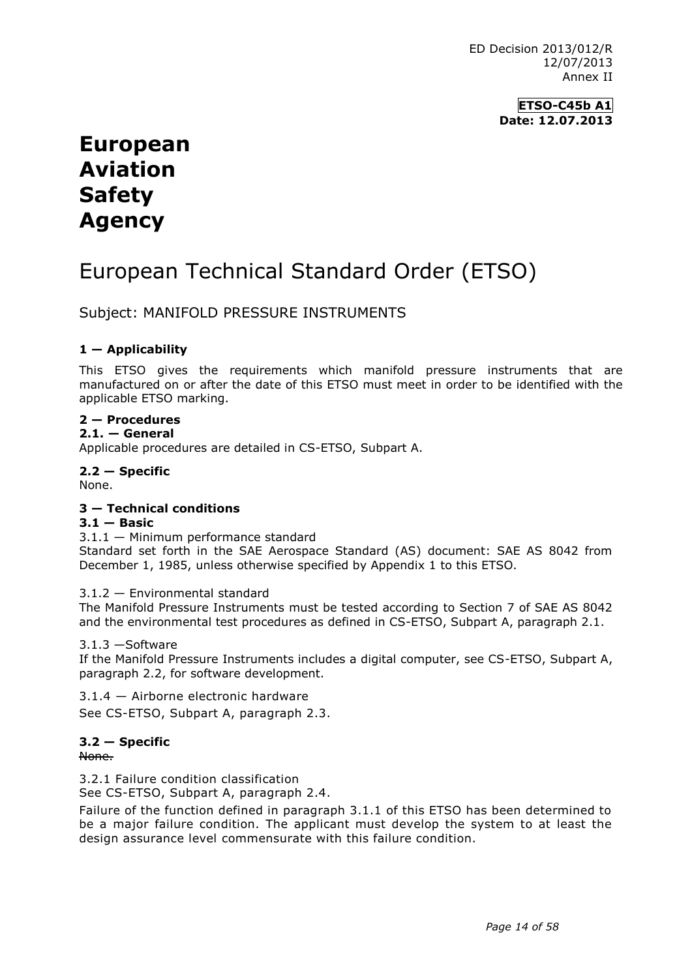**ETSO-C45b A1 Date: 12.07.2013**

## **European Aviation Safety Agency**

# European Technical Standard Order (ETSO)

Subject: MANIFOLD PRESSURE INSTRUMENTS

#### **1 — Applicability**

This ETSO gives the requirements which manifold pressure instruments that are manufactured on or after the date of this ETSO must meet in order to be identified with the applicable ETSO marking.

### **2 — Procedures**

#### **2.1. — General**

Applicable procedures are detailed in CS-ETSO, Subpart A.

**2.2 — Specific** None.

#### **3 — Technical conditions**

#### $3.1 -$  **Basic**

3.1.1 — Minimum performance standard

Standard set forth in the SAE Aerospace Standard (AS) document: SAE AS 8042 from December 1, 1985, unless otherwise specified by Appendix 1 to this ETSO.

#### 3.1.2 — Environmental standard

The Manifold Pressure Instruments must be tested according to Section 7 of SAE AS 8042 and the environmental test procedures as defined in CS-ETSO, Subpart A, paragraph 2.1.

#### 3.1.3 —Software

If the Manifold Pressure Instruments includes a digital computer, see CS-ETSO, Subpart A, paragraph 2.2, for software development.

3.1.4 — Airborne electronic hardware

See CS-ETSO, Subpart A, paragraph 2.3.

### **3.2 — Specific**

None.

3.2.1 Failure condition classification

See CS-ETSO, Subpart A, paragraph 2.4.

Failure of the function defined in paragraph 3.1.1 of this ETSO has been determined to be a major failure condition. The applicant must develop the system to at least the design assurance level commensurate with this failure condition.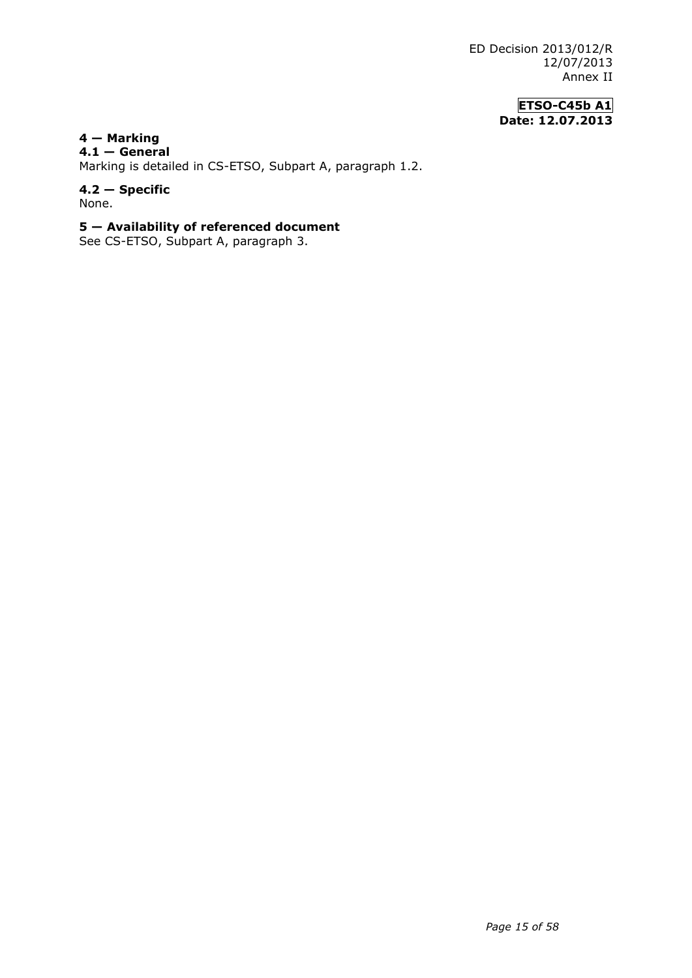ED Decision 2013/012/R 12/07/2013 Annex II

> **ETSO-C45b A1 Date: 12.07.2013**

**4 — Marking 4.1 — General**

Marking is detailed in CS-ETSO, Subpart A, paragraph 1.2.

**4.2 — Specific** None.

#### **5 — Availability of referenced document**

See CS-ETSO, Subpart A, paragraph 3.